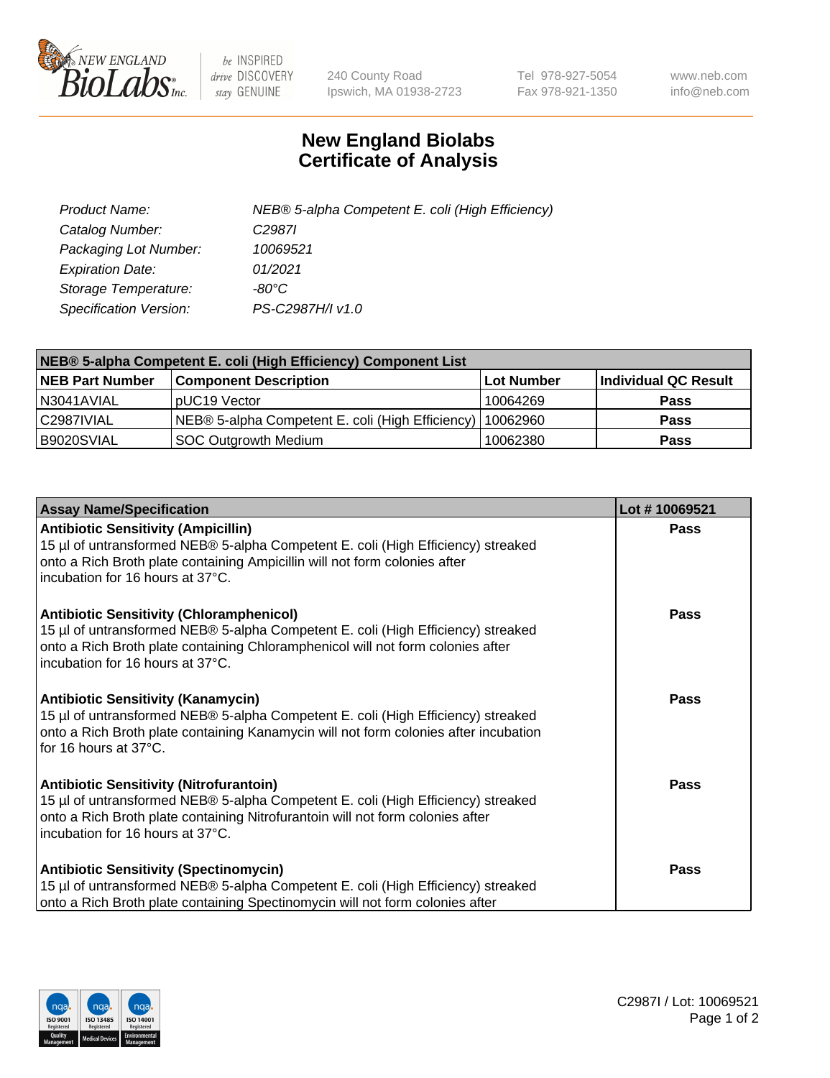

 $be$  INSPIRED drive DISCOVERY stay GENUINE

240 County Road Ipswich, MA 01938-2723 Tel 978-927-5054 Fax 978-921-1350 www.neb.com info@neb.com

## **New England Biolabs Certificate of Analysis**

| Product Name:           | NEB® 5-alpha Competent E. coli (High Efficiency) |
|-------------------------|--------------------------------------------------|
| Catalog Number:         | C <sub>2987</sub>                                |
| Packaging Lot Number:   | 10069521                                         |
| <b>Expiration Date:</b> | 01/2021                                          |
| Storage Temperature:    | -80°C.                                           |
| Specification Version:  | PS-C2987H/I v1.0                                 |

| NEB® 5-alpha Competent E. coli (High Efficiency) Component List |                                                  |            |                      |  |
|-----------------------------------------------------------------|--------------------------------------------------|------------|----------------------|--|
| <b>NEB Part Number</b>                                          | <b>Component Description</b>                     | Lot Number | Individual QC Result |  |
| N3041AVIAL                                                      | pUC19 Vector                                     | 10064269   | <b>Pass</b>          |  |
| C2987IVIAL                                                      | NEB® 5-alpha Competent E. coli (High Efficiency) | 10062960   | <b>Pass</b>          |  |
| B9020SVIAL                                                      | <b>SOC Outgrowth Medium</b>                      | 10062380   | <b>Pass</b>          |  |

| <b>Assay Name/Specification</b>                                                                                                                                                                                                                            | Lot #10069521 |
|------------------------------------------------------------------------------------------------------------------------------------------------------------------------------------------------------------------------------------------------------------|---------------|
| <b>Antibiotic Sensitivity (Ampicillin)</b><br>15 µl of untransformed NEB® 5-alpha Competent E. coli (High Efficiency) streaked<br>onto a Rich Broth plate containing Ampicillin will not form colonies after<br>incubation for 16 hours at 37°C.           | <b>Pass</b>   |
| <b>Antibiotic Sensitivity (Chloramphenicol)</b><br>15 µl of untransformed NEB® 5-alpha Competent E. coli (High Efficiency) streaked<br>onto a Rich Broth plate containing Chloramphenicol will not form colonies after<br>incubation for 16 hours at 37°C. | Pass          |
| Antibiotic Sensitivity (Kanamycin)<br>15 µl of untransformed NEB® 5-alpha Competent E. coli (High Efficiency) streaked<br>onto a Rich Broth plate containing Kanamycin will not form colonies after incubation<br>for 16 hours at 37°C.                    | Pass          |
| <b>Antibiotic Sensitivity (Nitrofurantoin)</b><br>15 µl of untransformed NEB® 5-alpha Competent E. coli (High Efficiency) streaked<br>onto a Rich Broth plate containing Nitrofurantoin will not form colonies after<br>incubation for 16 hours at 37°C.   | <b>Pass</b>   |
| <b>Antibiotic Sensitivity (Spectinomycin)</b><br>15 µl of untransformed NEB® 5-alpha Competent E. coli (High Efficiency) streaked<br>onto a Rich Broth plate containing Spectinomycin will not form colonies after                                         | Pass          |